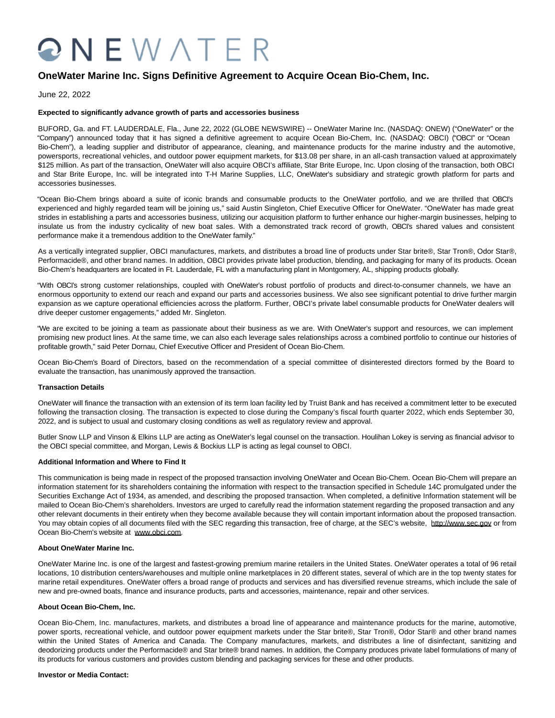# QNEWATER

## **OneWater Marine Inc. Signs Definitive Agreement to Acquire Ocean Bio-Chem, Inc.**

June 22, 2022

### **Expected to significantly advance growth of parts and accessories business**

BUFORD, Ga. and FT. LAUDERDALE, Fla., June 22, 2022 (GLOBE NEWSWIRE) -- OneWater Marine Inc. (NASDAQ: ONEW) ("OneWater" or the "Company") announced today that it has signed a definitive agreement to acquire Ocean Bio-Chem, Inc. (NASDAQ: OBCI) ("OBCI" or "Ocean Bio-Chem"), a leading supplier and distributor of appearance, cleaning, and maintenance products for the marine industry and the automotive, powersports, recreational vehicles, and outdoor power equipment markets, for \$13.08 per share, in an all-cash transaction valued at approximately \$125 million. As part of the transaction, OneWater will also acquire OBCI's affiliate, Star Brite Europe, Inc. Upon closing of the transaction, both OBCI and Star Brite Europe, Inc. will be integrated into T-H Marine Supplies, LLC, OneWater's subsidiary and strategic growth platform for parts and accessories businesses.

"Ocean Bio-Chem brings aboard a suite of iconic brands and consumable products to the OneWater portfolio, and we are thrilled that OBCI's experienced and highly regarded team will be joining us," said Austin Singleton, Chief Executive Officer for OneWater. "OneWater has made great strides in establishing a parts and accessories business, utilizing our acquisition platform to further enhance our higher-margin businesses, helping to insulate us from the industry cyclicality of new boat sales. With a demonstrated track record of growth, OBCI's shared values and consistent performance make it a tremendous addition to the OneWater family."

As a vertically integrated supplier, OBCI manufactures, markets, and distributes a broad line of products under Star brite®, Star Tron®, Odor Star®, Performacide®, and other brand names. In addition, OBCI provides private label production, blending, and packaging for many of its products. Ocean Bio-Chem's headquarters are located in Ft. Lauderdale, FL with a manufacturing plant in Montgomery, AL, shipping products globally.

"With OBCI's strong customer relationships, coupled with OneWater's robust portfolio of products and direct-to-consumer channels, we have an enormous opportunity to extend our reach and expand our parts and accessories business. We also see significant potential to drive further margin expansion as we capture operational efficiencies across the platform. Further, OBCI's private label consumable products for OneWater dealers will drive deeper customer engagements," added Mr. Singleton.

"We are excited to be joining a team as passionate about their business as we are. With OneWater's support and resources, we can implement promising new product lines. At the same time, we can also each leverage sales relationships across a combined portfolio to continue our histories of profitable growth," said Peter Dornau, Chief Executive Officer and President of Ocean Bio-Chem.

Ocean Bio-Chem's Board of Directors, based on the recommendation of a special committee of disinterested directors formed by the Board to evaluate the transaction, has unanimously approved the transaction.

#### **Transaction Details**

OneWater will finance the transaction with an extension of its term loan facility led by Truist Bank and has received a commitment letter to be executed following the transaction closing. The transaction is expected to close during the Company's fiscal fourth quarter 2022, which ends September 30, 2022, and is subject to usual and customary closing conditions as well as regulatory review and approval.

Butler Snow LLP and Vinson & Elkins LLP are acting as OneWater's legal counsel on the transaction. Houlihan Lokey is serving as financial advisor to the OBCI special committee, and Morgan, Lewis & Bockius LLP is acting as legal counsel to OBCI.

#### **Additional Information and Where to Find It**

This communication is being made in respect of the proposed transaction involving OneWater and Ocean Bio-Chem. Ocean Bio-Chem will prepare an information statement for its shareholders containing the information with respect to the transaction specified in Schedule 14C promulgated under the Securities Exchange Act of 1934, as amended, and describing the proposed transaction. When completed, a definitive Information statement will be mailed to Ocean Bio-Chem's shareholders. Investors are urged to carefully read the information statement regarding the proposed transaction and any other relevant documents in their entirety when they become available because they will contain important information about the proposed transaction. You may obtain copies of all documents filed with the SEC regarding this transaction, free of charge, at the SEC's website, http://www.sec.gov or from Ocean Bio-Chem's website at www.obci.com.

#### **About OneWater Marine Inc.**

OneWater Marine Inc. is one of the largest and fastest-growing premium marine retailers in the United States. OneWater operates a total of 96 retail locations, 10 distribution centers/warehouses and multiple online marketplaces in 20 different states, several of which are in the top twenty states for marine retail expenditures. OneWater offers a broad range of products and services and has diversified revenue streams, which include the sale of new and pre-owned boats, finance and insurance products, parts and accessories, maintenance, repair and other services.

#### **About Ocean Bio-Chem, Inc.**

Ocean Bio-Chem, Inc. manufactures, markets, and distributes a broad line of appearance and maintenance products for the marine, automotive, power sports, recreational vehicle, and outdoor power equipment markets under the Star brite®, Star Tron®, Odor Star® and other brand names within the United States of America and Canada. The Company manufactures, markets, and distributes a line of disinfectant, sanitizing and deodorizing products under the Performacide® and Star brite® brand names. In addition, the Company produces private label formulations of many of its products for various customers and provides custom blending and packaging services for these and other products.

#### **Investor or Media Contact:**